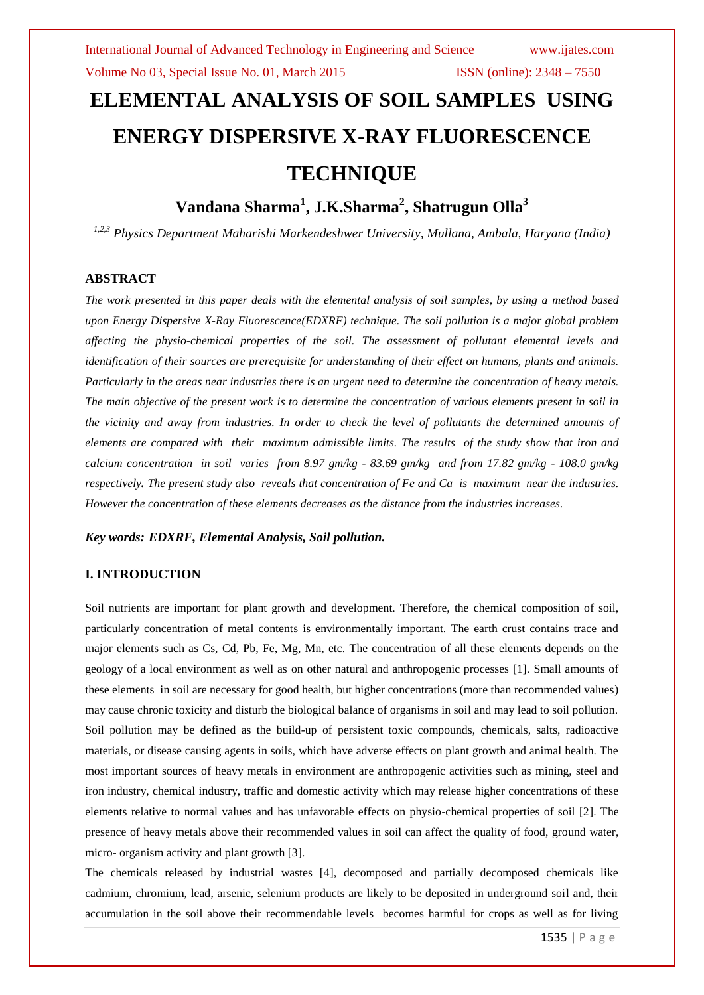# **ELEMENTAL ANALYSIS OF SOIL SAMPLES USING ENERGY DISPERSIVE X-RAY FLUORESCENCE TECHNIQUE**

# **Vandana Sharma<sup>1</sup> , J.K.Sharma<sup>2</sup> , Shatrugun Olla<sup>3</sup>**

*1,2,3 Physics Department Maharishi Markendeshwer University, Mullana, Ambala, Haryana (India)*

#### **ABSTRACT**

*The work presented in this paper deals with the elemental analysis of soil samples, by using a method based upon Energy Dispersive X-Ray Fluorescence(EDXRF) technique. The soil pollution is a major global problem affecting the physio-chemical properties of the soil. The assessment of pollutant elemental levels and identification of their sources are prerequisite for understanding of their effect on humans, plants and animals. Particularly in the areas near industries there is an urgent need to determine the concentration of heavy metals. The main objective of the present work is to determine the concentration of various elements present in soil in the vicinity and away from industries. In order to check the level of pollutants the determined amounts of elements are compared with their maximum admissible limits. The results of the study show that iron and calcium concentration in soil varies from 8.97 gm/kg - 83.69 gm/kg and from 17.82 gm/kg - 108.0 gm/kg respectively. The present study also reveals that concentration of Fe and Ca is maximum near the industries. However the concentration of these elements decreases as the distance from the industries increases.* 

*Key words: EDXRF, Elemental Analysis, Soil pollution.*

## **I. INTRODUCTION**

Soil nutrients are important for plant growth and development. Therefore, the chemical composition of soil, particularly concentration of metal contents is environmentally important. The earth crust contains trace and major elements such as Cs, Cd, Pb, Fe, Mg, Mn, etc. The concentration of all these elements depends on the geology of a local environment as well as on other natural and anthropogenic processes [1]. Small amounts of these elements in soil are necessary for good health, but higher concentrations (more than recommended values) may cause chronic toxicity and disturb the biological balance of organisms in soil and may lead to soil pollution. Soil pollution may be defined as the build-up of persistent toxic compounds, chemicals, salts, radioactive materials, or disease causing agents in soils, which have adverse effects on plant growth and animal health. The most important sources of heavy metals in environment are anthropogenic activities such as mining, steel and iron industry, chemical industry, traffic and domestic activity which may release higher concentrations of these elements relative to normal values and has unfavorable effects on physio-chemical properties of soil [2]. The presence of heavy metals above their recommended values in soil can affect the quality of food, ground water, micro- organism activity and plant growth [3].

The chemicals released by industrial wastes [4], decomposed and partially decomposed chemicals like cadmium, chromium, lead, arsenic, selenium products are likely to be deposited in underground soil and, their accumulation in the soil above their recommendable levels becomes harmful for crops as well as for living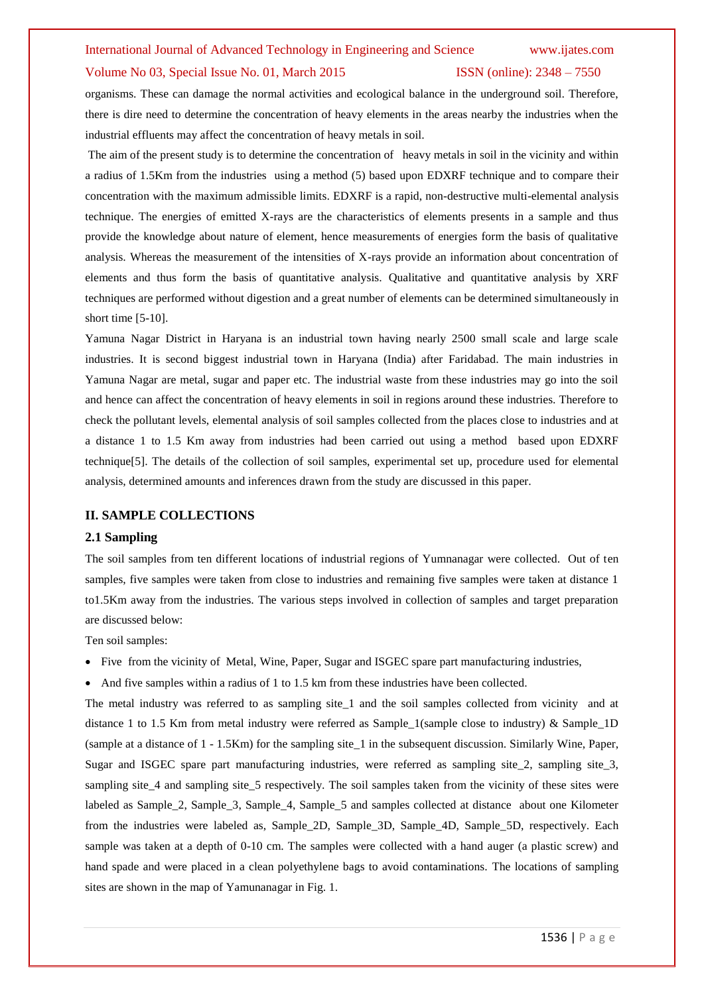# International Journal of Advanced Technology in Engineering and Science www.ijates.com

#### Volume No 03, Special Issue No. 01, March 2015 **ISSN** (online): 2348 – 7550

organisms. These can damage the normal activities and ecological balance in the underground soil. Therefore, there is dire need to determine the concentration of heavy elements in the areas nearby the industries when the industrial effluents may affect the concentration of heavy metals in soil.

The aim of the present study is to determine the concentration of heavy metals in soil in the vicinity and within a radius of 1.5Km from the industries using a method (5) based upon EDXRF technique and to compare their concentration with the maximum admissible limits. EDXRF is a rapid, non-destructive multi-elemental analysis technique. The energies of emitted X-rays are the characteristics of elements presents in a sample and thus provide the knowledge about nature of element, hence measurements of energies form the basis of qualitative analysis. Whereas the measurement of the intensities of X-rays provide an information about concentration of elements and thus form the basis of quantitative analysis. Qualitative and quantitative analysis by XRF techniques are performed without digestion and a great number of elements can be determined simultaneously in short time [5-10].

Yamuna Nagar District in Haryana is an industrial town having nearly 2500 small scale and large scale industries. It is second biggest industrial town in Haryana (India) after Faridabad. The main industries in Yamuna Nagar are metal, sugar and paper etc. The industrial waste from these industries may go into the soil and hence can affect the concentration of heavy elements in soil in regions around these industries. Therefore to check the pollutant levels, elemental analysis of soil samples collected from the places close to industries and at a distance 1 to 1.5 Km away from industries had been carried out using a method based upon EDXRF technique[5]. The details of the collection of soil samples, experimental set up, procedure used for elemental analysis, determined amounts and inferences drawn from the study are discussed in this paper.

#### **II. SAMPLE COLLECTIONS**

#### **2.1 Sampling**

The soil samples from ten different locations of industrial regions of Yumnanagar were collected. Out of ten samples, five samples were taken from close to industries and remaining five samples were taken at distance 1 to1.5Km away from the industries. The various steps involved in collection of samples and target preparation are discussed below:

Ten soil samples:

- Five from the vicinity of Metal, Wine, Paper, Sugar and ISGEC spare part manufacturing industries,
- And five samples within a radius of 1 to 1.5 km from these industries have been collected.

The metal industry was referred to as sampling site 1 and the soil samples collected from vicinity and at distance 1 to 1.5 Km from metal industry were referred as Sample\_1(sample close to industry) & Sample\_1D (sample at a distance of 1 - 1.5Km) for the sampling site\_1 in the subsequent discussion. Similarly Wine, Paper, Sugar and ISGEC spare part manufacturing industries, were referred as sampling site 2, sampling site 3, sampling site 4 and sampling site 5 respectively. The soil samples taken from the vicinity of these sites were labeled as Sample\_2, Sample\_3, Sample\_4, Sample\_5 and samples collected at distance about one Kilometer from the industries were labeled as, Sample\_2D, Sample\_3D, Sample\_4D, Sample\_5D, respectively. Each sample was taken at a depth of 0-10 cm. The samples were collected with a hand auger (a plastic screw) and hand spade and were placed in a clean polyethylene bags to avoid contaminations. The locations of sampling sites are shown in the map of Yamunanagar in Fig. 1.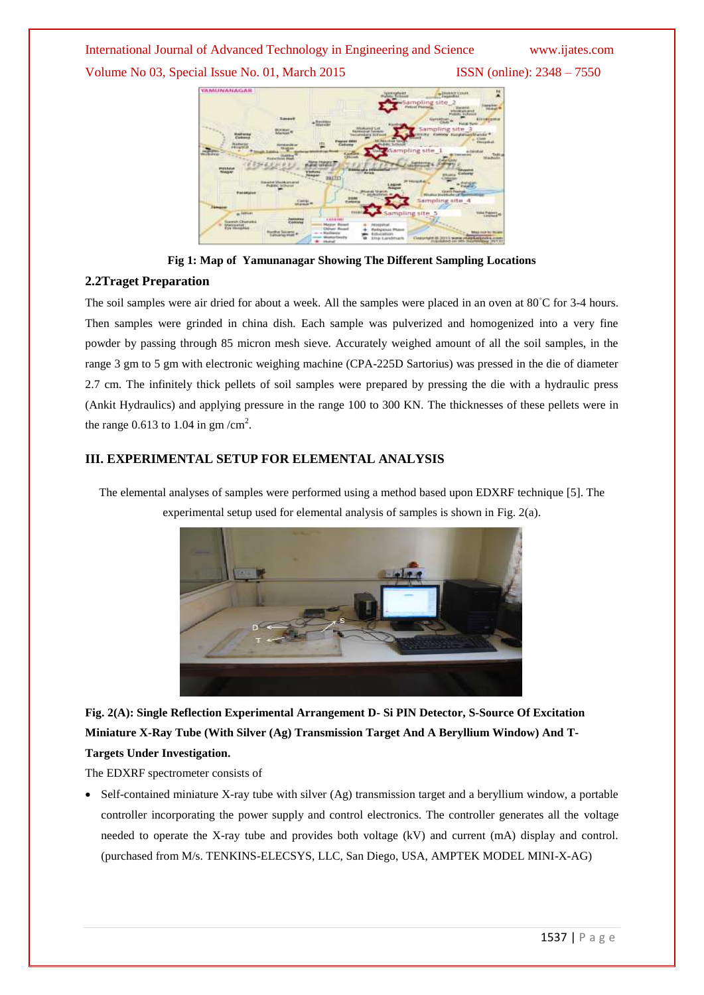# International Journal of Advanced Technology in Engineering and Science www.ijates.com

Volume No 03, Special Issue No. 01, March 2015 ISSN (online): 2348 – 7550



**Fig 1: Map of Yamunanagar Showing The Different Sampling Locations**

# **2.2Traget Preparation**

The soil samples were air dried for about a week. All the samples were placed in an oven at 80<sup>°</sup>C for 3-4 hours. Then samples were grinded in china dish. Each sample was pulverized and homogenized into a very fine powder by passing through 85 micron mesh sieve. Accurately weighed amount of all the soil samples, in the range 3 gm to 5 gm with electronic weighing machine (CPA-225D Sartorius) was pressed in the die of diameter 2.7 cm. The infinitely thick pellets of soil samples were prepared by pressing the die with a hydraulic press (Ankit Hydraulics) and applying pressure in the range 100 to 300 KN. The thicknesses of these pellets were in the range 0.613 to 1.04 in gm /cm<sup>2</sup>.

# **III. EXPERIMENTAL SETUP FOR ELEMENTAL ANALYSIS**



The elemental analyses of samples were performed using a method based upon EDXRF technique [5]. The experimental setup used for elemental analysis of samples is shown in Fig. 2(a).

**Fig. 2(A): Single Reflection Experimental Arrangement D- Si PIN Detector, S-Source Of Excitation Miniature X-Ray Tube (With Silver (Ag) Transmission Target And A Beryllium Window) And T-Targets Under Investigation.**

The EDXRF spectrometer consists of

 Self-contained miniature X-ray tube with silver (Ag) transmission target and a beryllium window, a portable controller incorporating the power supply and control electronics. The controller generates all the voltage needed to operate the X-ray tube and provides both voltage (kV) and current (mA) display and control. (purchased from M/s. TENKINS-ELECSYS, LLC, San Diego, USA, AMPTEK MODEL MINI-X-AG)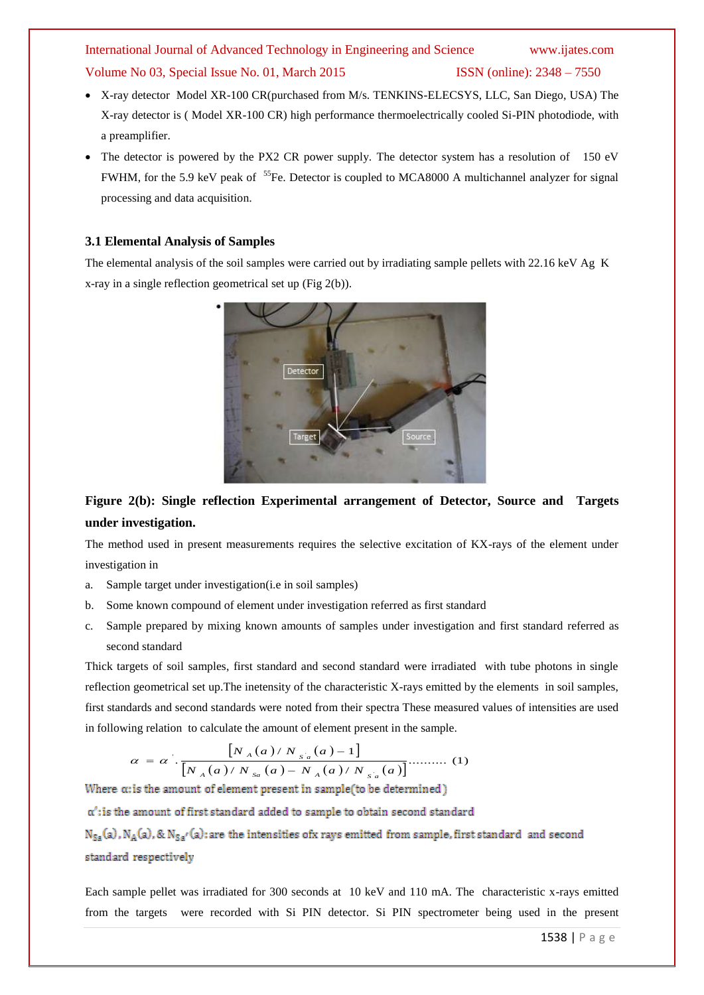- X-ray detector Model XR-100 CR(purchased from M/s. TENKINS-ELECSYS, LLC, San Diego, USA) The X-ray detector is ( Model XR-100 CR) high performance thermoelectrically cooled Si-PIN photodiode, with a preamplifier.
- The detector is powered by the PX2 CR power supply. The detector system has a resolution of 150 eV FWHM, for the 5.9 keV peak of <sup>55</sup>Fe. Detector is coupled to MCA8000 A multichannel analyzer for signal processing and data acquisition.

#### **3.1 Elemental Analysis of Samples**

The elemental analysis of the soil samples were carried out by irradiating sample pellets with 22.16 keV Ag K x-ray in a single reflection geometrical set up (Fig 2(b)).



# **Figure 2(b): Single reflection Experimental arrangement of Detector, Source and Targets under investigation.**

The method used in present measurements requires the selective excitation of KX-rays of the element under investigation in

- a. Sample target under investigation(i.e in soil samples)
- b. Some known compound of element under investigation referred as first standard
- c. Sample prepared by mixing known amounts of samples under investigation and first standard referred as second standard

Thick targets of soil samples, first standard and second standard were irradiated with tube photons in single reflection geometrical set up.The inetensity of the characteristic X-rays emitted by the elements in soil samples, first standards and second standards were noted from their spectra These measured values of intensities are used in following relation to calculate the amount of element present in the sample.

$$
\alpha = \alpha \cdot \frac{\left[N_A(a)/N_{s_a}(a) - 1\right]}{\left[N_A(a)/N_{s_a}(a) - N_A(a)/N_{s_a}(a)\right]} \dots \dots \dots \quad (1)
$$

from the targets were recorded with Si PIN detector. Si PIN spectrometer being used in the present

Each sample pellet was irradiated for 300 seconds at 10 keV and 110 mA. The characteristic x-rays emitted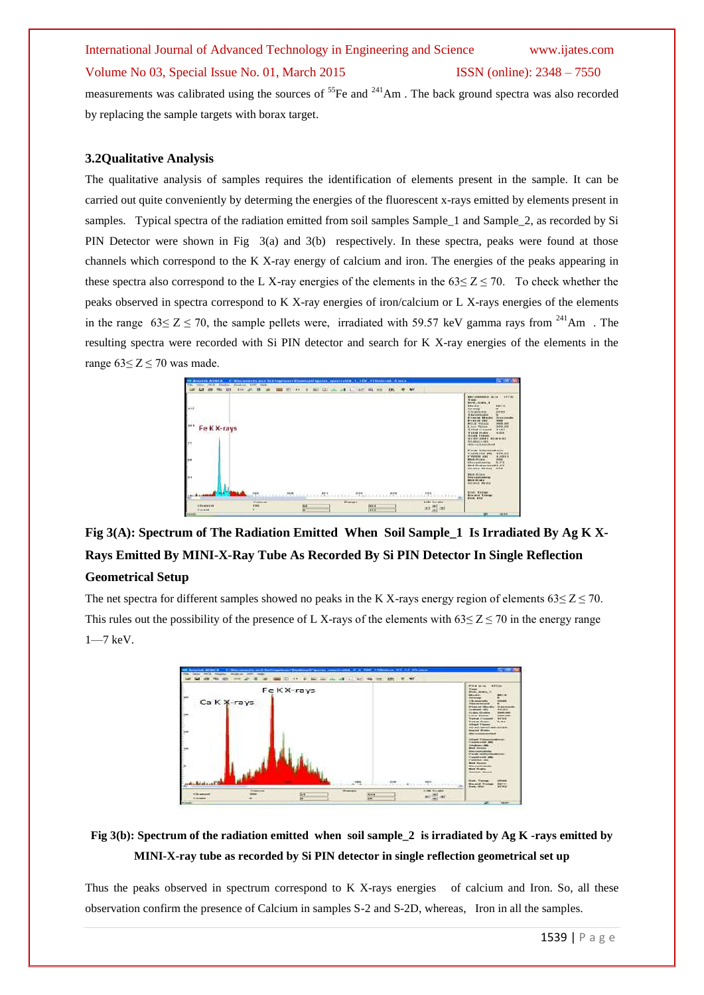measurements was calibrated using the sources of <sup>55</sup>Fe and <sup>241</sup>Am. The back ground spectra was also recorded by replacing the sample targets with borax target.

## **3.2Qualitative Analysis**

The qualitative analysis of samples requires the identification of elements present in the sample. It can be carried out quite conveniently by determing the energies of the fluorescent x-rays emitted by elements present in samples. Typical spectra of the radiation emitted from soil samples Sample\_1 and Sample\_2, as recorded by Si PIN Detector were shown in Fig 3(a) and 3(b) respectively. In these spectra, peaks were found at those channels which correspond to the K X-ray energy of calcium and iron. The energies of the peaks appearing in these spectra also correspond to the L X-ray energies of the elements in the  $63 < Z < 70$ . To check whether the peaks observed in spectra correspond to K X-ray energies of iron/calcium or L X-rays energies of the elements in the range  $63 \le Z \le 70$ , the sample pellets were, irradiated with 59.57 keV gamma rays from <sup>241</sup>Am. The resulting spectra were recorded with Si PIN detector and search for K X-ray energies of the elements in the range  $63 \le Z \le 70$  was made.



**Fig 3(A): Spectrum of The Radiation Emitted When Soil Sample\_1 Is Irradiated By Ag K X-Rays Emitted By MINI-X-Ray Tube As Recorded By Si PIN Detector In Single Reflection Geometrical Setup** 

The net spectra for different samples showed no peaks in the K X-rays energy region of elements  $63 \le Z \le 70$ . This rules out the possibility of the presence of L X-rays of the elements with  $63 \le Z \le 70$  in the energy range 1—7 keV.



# **Fig 3(b): Spectrum of the radiation emitted when soil sample\_2 is irradiated by Ag K -rays emitted by MINI-X-ray tube as recorded by Si PIN detector in single reflection geometrical set up**

Thus the peaks observed in spectrum correspond to K X-rays energies of calcium and Iron. So, all these observation confirm the presence of Calcium in samples S-2 and S-2D, whereas, Iron in all the samples.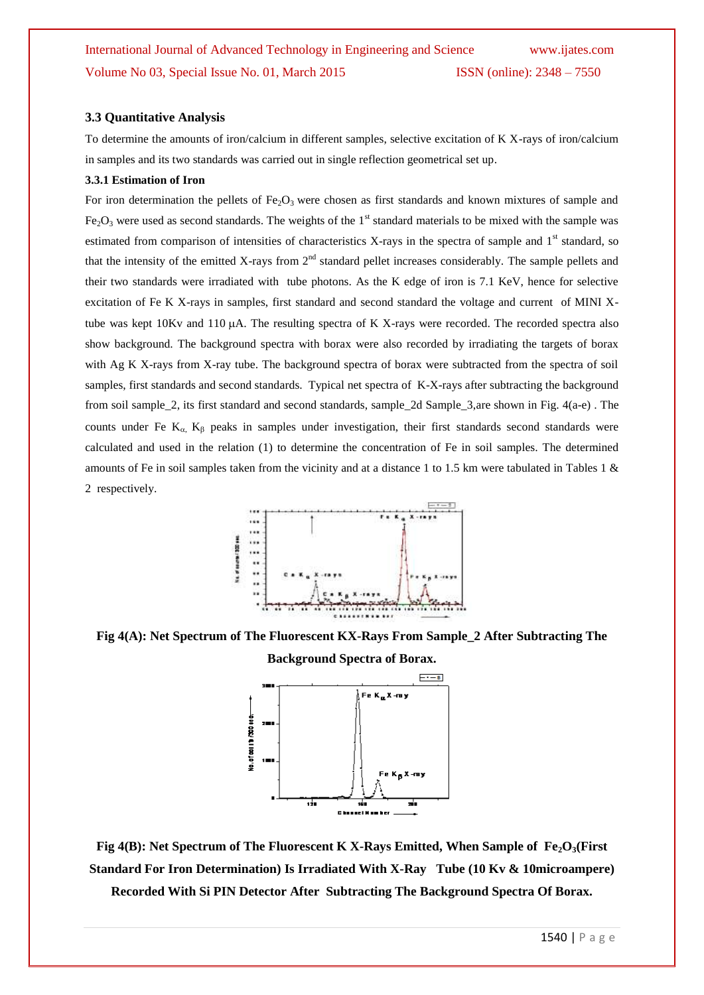## **3.3 Quantitative Analysis**

To determine the amounts of iron/calcium in different samples, selective excitation of K X-rays of iron/calcium in samples and its two standards was carried out in single reflection geometrical set up.

#### **3.3.1 Estimation of Iron**

For iron determination the pellets of Fe<sub>2</sub>O<sub>3</sub> were chosen as first standards and known mixtures of sample and  $Fe<sub>2</sub>O<sub>3</sub>$  were used as second standards. The weights of the 1<sup>st</sup> standard materials to be mixed with the sample was estimated from comparison of intensities of characteristics X-rays in the spectra of sample and  $1<sup>st</sup>$  standard, so that the intensity of the emitted X-rays from  $2<sup>nd</sup>$  standard pellet increases considerably. The sample pellets and their two standards were irradiated with tube photons. As the K edge of iron is 7.1 KeV, hence for selective excitation of Fe K X-rays in samples, first standard and second standard the voltage and current of MINI Xtube was kept  $10Kv$  and  $110 \mu A$ . The resulting spectra of K X-rays were recorded. The recorded spectra also show background. The background spectra with borax were also recorded by irradiating the targets of borax with Ag K X-rays from X-ray tube. The background spectra of borax were subtracted from the spectra of soil samples, first standards and second standards. Typical net spectra of K-X-rays after subtracting the background from soil sample\_2, its first standard and second standards, sample\_2d Sample\_3,are shown in Fig. 4(a-e) . The counts under Fe  $K_{\alpha}$ ,  $K_{\beta}$  peaks in samples under investigation, their first standards second standards were calculated and used in the relation (1) to determine the concentration of Fe in soil samples. The determined amounts of Fe in soil samples taken from the vicinity and at a distance 1 to 1.5 km were tabulated in Tables 1 & 2 respectively.



**Fig 4(A): Net Spectrum of The Fluorescent KX-Rays From Sample\_2 After Subtracting The** 



**Fig 4(B): Net Spectrum of The Fluorescent K X-Rays Emitted, When Sample of Fe2O3(First Standard For Iron Determination) Is Irradiated With X-Ray Tube (10 Kv & 10microampere) Recorded With Si PIN Detector After Subtracting The Background Spectra Of Borax.**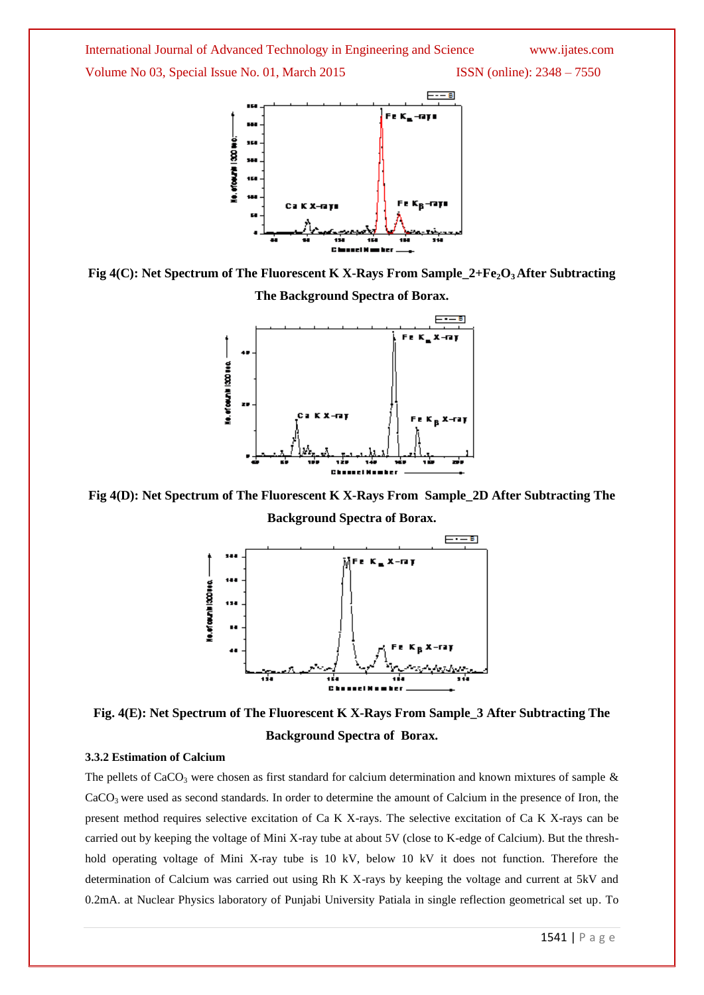





**Fig 4(D): Net Spectrum of The Fluorescent K X-Rays From Sample\_2D After Subtracting The** 

**Background Spectra of Borax.**



**Fig. 4(E): Net Spectrum of The Fluorescent K X-Rays From Sample\_3 After Subtracting The Background Spectra of Borax.**

# **3.3.2 Estimation of Calcium**

The pellets of CaCO<sub>3</sub> were chosen as first standard for calcium determination and known mixtures of sample  $\&$  $CaCO<sub>3</sub>$  were used as second standards. In order to determine the amount of Calcium in the presence of Iron, the present method requires selective excitation of Ca K X-rays. The selective excitation of Ca K X-rays can be carried out by keeping the voltage of Mini X-ray tube at about 5V (close to K-edge of Calcium). But the threshhold operating voltage of Mini X-ray tube is 10 kV, below 10 kV it does not function. Therefore the determination of Calcium was carried out using Rh K X-rays by keeping the voltage and current at 5kV and 0.2mA. at Nuclear Physics laboratory of Punjabi University Patiala in single reflection geometrical set up. To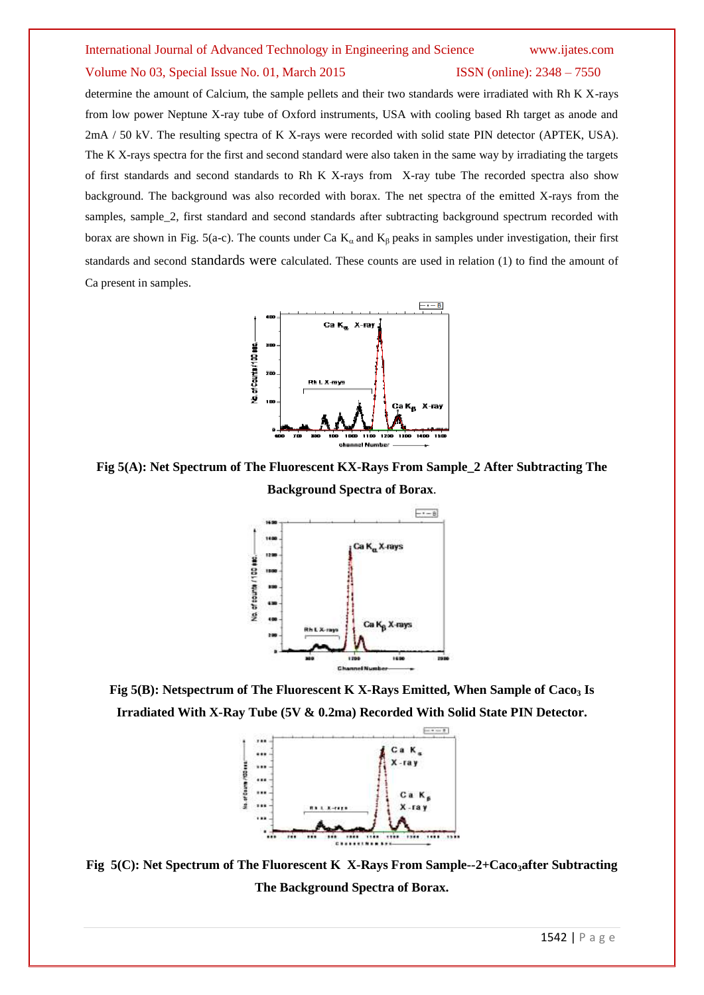determine the amount of Calcium, the sample pellets and their two standards were irradiated with Rh K X-rays from low power Neptune X-ray tube of Oxford instruments, USA with cooling based Rh target as anode and 2mA / 50 kV. The resulting spectra of K X-rays were recorded with solid state PIN detector (APTEK, USA). The K X-rays spectra for the first and second standard were also taken in the same way by irradiating the targets of first standards and second standards to Rh K X-rays from X-ray tube The recorded spectra also show background. The background was also recorded with borax. The net spectra of the emitted X-rays from the samples, sample\_2, first standard and second standards after subtracting background spectrum recorded with borax are shown in Fig. 5(a-c). The counts under Ca  $K_{\alpha}$  and  $K_{\beta}$  peaks in samples under investigation, their first standards and second standards were calculated. These counts are used in relation (1) to find the amount of Ca present in samples.



**Fig 5(A): Net Spectrum of The Fluorescent KX-Rays From Sample\_2 After Subtracting The Background Spectra of Borax**.



**Fig 5(B): Netspectrum of The Fluorescent K X-Rays Emitted, When Sample of Caco<sup>3</sup> Is Irradiated With X-Ray Tube (5V & 0.2ma) Recorded With Solid State PIN Detector.**



**Fig 5(C): Net Spectrum of The Fluorescent K X-Rays From Sample--2+Caco3after Subtracting The Background Spectra of Borax.**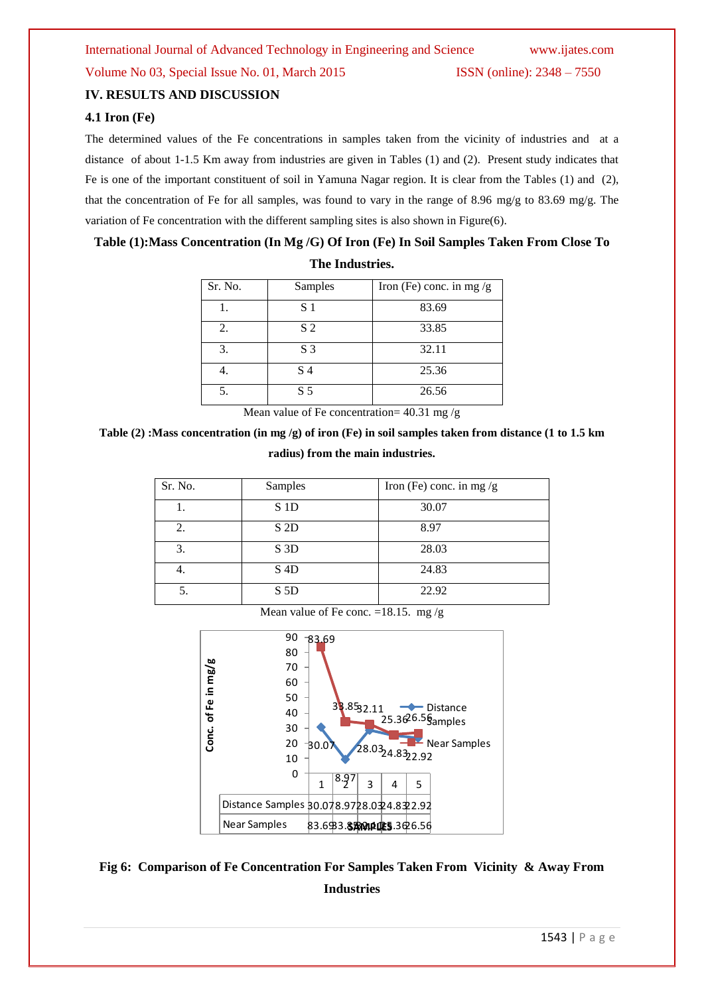# **IV. RESULTS AND DISCUSSION**

# **4.1 Iron (Fe)**

The determined values of the Fe concentrations in samples taken from the vicinity of industries and at a distance of about 1-1.5 Km away from industries are given in Tables (1) and (2). Present study indicates that Fe is one of the important constituent of soil in Yamuna Nagar region. It is clear from the Tables (1) and (2), that the concentration of Fe for all samples, was found to vary in the range of 8.96 mg/g to 83.69 mg/g. The variation of Fe concentration with the different sampling sites is also shown in Figure(6).

# **Table (1):Mass Concentration (In Mg /G) Of Iron (Fe) In Soil Samples Taken From Close To**

| Sr. No. | Samples        | Iron (Fe) conc. in mg $/g$ |
|---------|----------------|----------------------------|
|         | S 1            | 83.69                      |
| 2.      | S <sub>2</sub> | 33.85                      |
| 3.      | S <sub>3</sub> | 32.11                      |
|         | S <sub>4</sub> | 25.36                      |
|         | S <sub>5</sub> | 26.56                      |

**The Industries.**

Mean value of Fe concentration=  $40.31$  mg/g

**Table (2) :Mass concentration (in mg /g) of iron (Fe) in soil samples taken from distance (1 to 1.5 km radius) from the main industries.**

| Sr. No. | Samples          | Iron (Fe) conc. in mg $/g$ |
|---------|------------------|----------------------------|
|         | S <sub>1</sub> D | 30.07                      |
| 2.      | S <sub>2D</sub>  | 8.97                       |
| 3.      | S <sub>3</sub> D | 28.03                      |
| 4.      | S <sub>4</sub> D | 24.83                      |
|         | S <sub>5</sub> D | 22.92                      |

Mean value of Fe conc. =18.15. mg/g



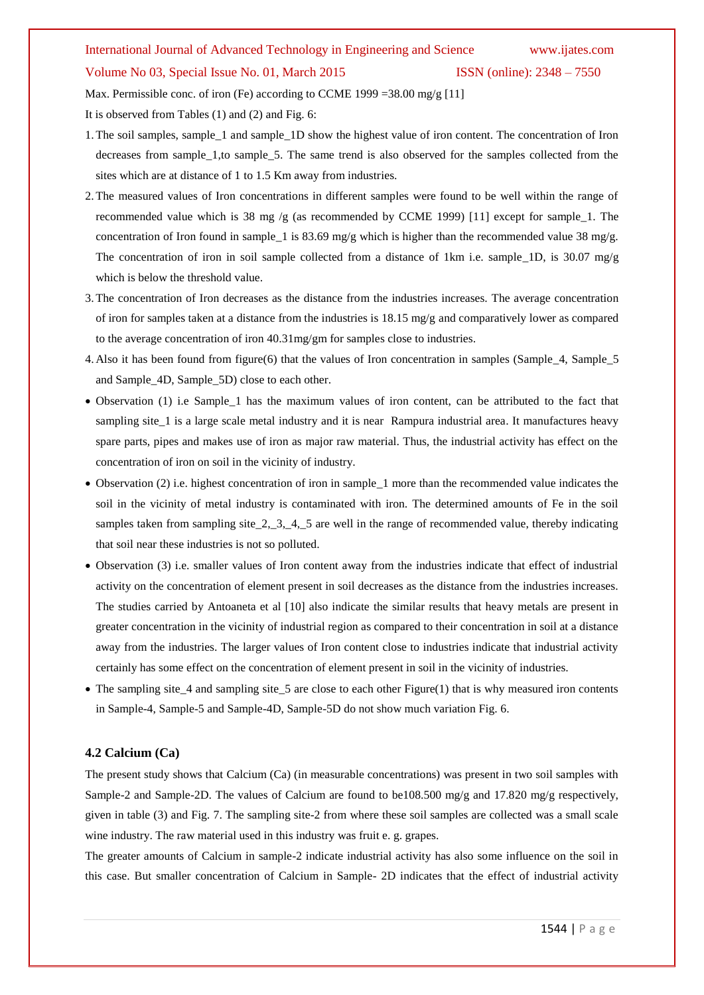Max. Permissible conc. of iron (Fe) according to CCME 1999 =38.00 mg/g [11] It is observed from Tables (1) and (2) and Fig. 6:

- 1.The soil samples, sample\_1 and sample\_1D show the highest value of iron content. The concentration of Iron decreases from sample\_1,to sample\_5. The same trend is also observed for the samples collected from the sites which are at distance of 1 to 1.5 Km away from industries.
- 2.The measured values of Iron concentrations in different samples were found to be well within the range of recommended value which is 38 mg /g (as recommended by CCME 1999) [11] except for sample\_1. The concentration of Iron found in sample\_1 is 83.69 mg/g which is higher than the recommended value 38 mg/g. The concentration of iron in soil sample collected from a distance of 1km i.e. sample\_1D, is 30.07 mg/g which is below the threshold value.
- 3.The concentration of Iron decreases as the distance from the industries increases. The average concentration of iron for samples taken at a distance from the industries is  $18.15 \text{ mg/g}$  and comparatively lower as compared to the average concentration of iron 40.31mg/gm for samples close to industries.
- 4. Also it has been found from figure(6) that the values of Iron concentration in samples (Sample\_4, Sample\_5 and Sample\_4D, Sample\_5D) close to each other.
- Observation (1) i.e Sample\_1 has the maximum values of iron content, can be attributed to the fact that sampling site 1 is a large scale metal industry and it is near Rampura industrial area. It manufactures heavy spare parts, pipes and makes use of iron as major raw material. Thus, the industrial activity has effect on the concentration of iron on soil in the vicinity of industry.
- Observation (2) i.e. highest concentration of iron in sample\_1 more than the recommended value indicates the soil in the vicinity of metal industry is contaminated with iron. The determined amounts of Fe in the soil samples taken from sampling site  $2, 3, 4, 5$  are well in the range of recommended value, thereby indicating that soil near these industries is not so polluted.
- Observation (3) i.e. smaller values of Iron content away from the industries indicate that effect of industrial activity on the concentration of element present in soil decreases as the distance from the industries increases. The studies carried by Antoaneta et al [10] also indicate the similar results that heavy metals are present in greater concentration in the vicinity of industrial region as compared to their concentration in soil at a distance away from the industries. The larger values of Iron content close to industries indicate that industrial activity certainly has some effect on the concentration of element present in soil in the vicinity of industries.
- The sampling site\_4 and sampling site\_5 are close to each other Figure(1) that is why measured iron contents in Sample-4, Sample-5 and Sample-4D, Sample-5D do not show much variation Fig. 6.

## **4.2 Calcium (Ca)**

The present study shows that Calcium (Ca) (in measurable concentrations) was present in two soil samples with Sample-2 and Sample-2D. The values of Calcium are found to be108.500 mg/g and 17.820 mg/g respectively, given in table (3) and Fig. 7. The sampling site-2 from where these soil samples are collected was a small scale wine industry. The raw material used in this industry was fruit e. g. grapes.

The greater amounts of Calcium in sample-2 indicate industrial activity has also some influence on the soil in this case. But smaller concentration of Calcium in Sample- 2D indicates that the effect of industrial activity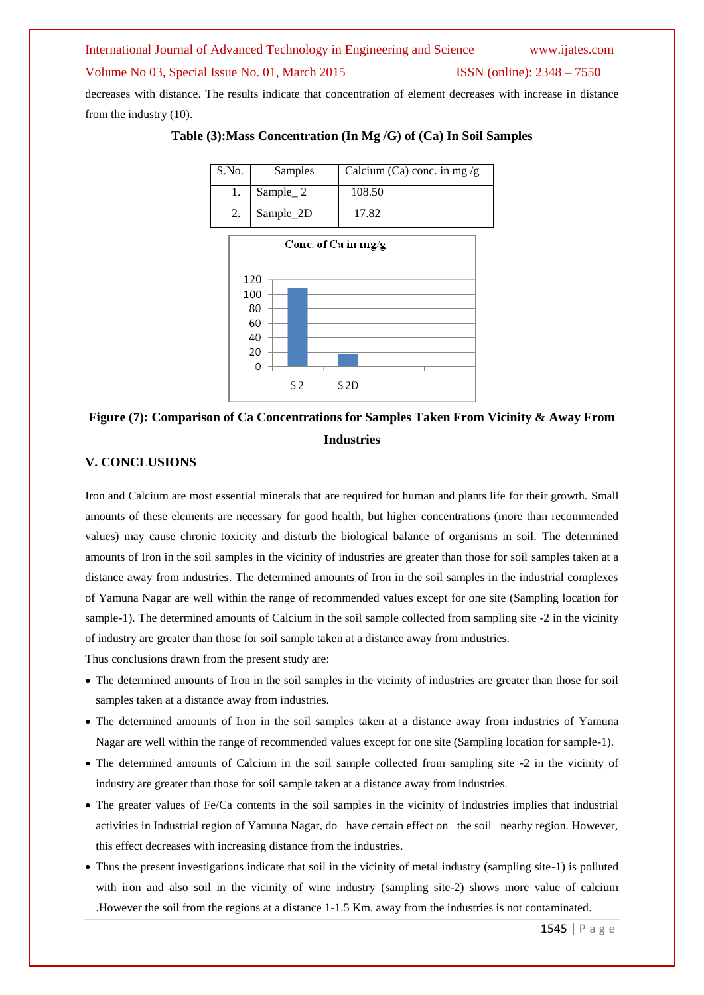decreases with distance. The results indicate that concentration of element decreases with increase in distance from the industry (10).



**Table (3):Mass Concentration (In Mg /G) of (Ca) In Soil Samples**



# **Figure (7): Comparison of Ca Concentrations for Samples Taken From Vicinity & Away From Industries**

# **V. CONCLUSIONS**

Iron and Calcium are most essential minerals that are required for human and plants life for their growth. Small amounts of these elements are necessary for good health, but higher concentrations (more than recommended values) may cause chronic toxicity and disturb the biological balance of organisms in soil. The determined amounts of Iron in the soil samples in the vicinity of industries are greater than those for soil samples taken at a distance away from industries. The determined amounts of Iron in the soil samples in the industrial complexes of Yamuna Nagar are well within the range of recommended values except for one site (Sampling location for sample-1). The determined amounts of Calcium in the soil sample collected from sampling site -2 in the vicinity of industry are greater than those for soil sample taken at a distance away from industries.

Thus conclusions drawn from the present study are:

- The determined amounts of Iron in the soil samples in the vicinity of industries are greater than those for soil samples taken at a distance away from industries.
- The determined amounts of Iron in the soil samples taken at a distance away from industries of Yamuna Nagar are well within the range of recommended values except for one site (Sampling location for sample-1).
- The determined amounts of Calcium in the soil sample collected from sampling site -2 in the vicinity of industry are greater than those for soil sample taken at a distance away from industries.
- The greater values of Fe/Ca contents in the soil samples in the vicinity of industries implies that industrial activities in Industrial region of Yamuna Nagar, do have certain effect on the soil nearby region. However, this effect decreases with increasing distance from the industries.
- Thus the present investigations indicate that soil in the vicinity of metal industry (sampling site-1) is polluted with iron and also soil in the vicinity of wine industry (sampling site-2) shows more value of calcium .However the soil from the regions at a distance 1-1.5 Km. away from the industries is not contaminated.